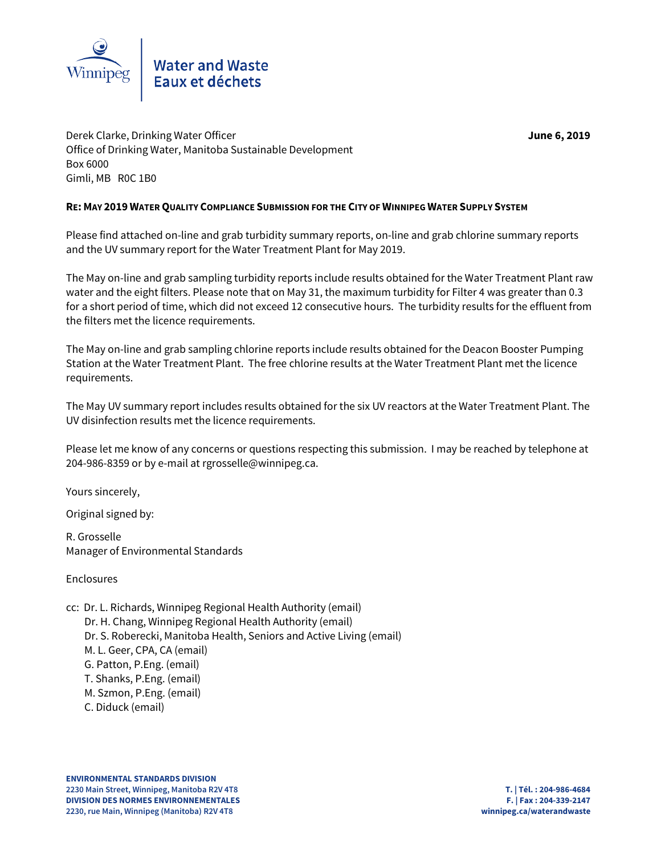

Water and Waste<br>Eaux et déchets

Derek Clarke, Drinking Water Officer **June 6, 2019** Office of Drinking Water, Manitoba Sustainable Development Box 6000 Gimli, MB R0C 1B0

## **RE: MAY 2019 WATER QUALITY COMPLIANCE SUBMISSION FOR THE CITY OF WINNIPEG WATER SUPPLY SYSTEM**

Please find attached on-line and grab turbidity summary reports, on-line and grab chlorine summary reports and the UV summary report for the Water Treatment Plant for May 2019.

The May on-line and grab sampling turbidity reports include results obtained for the Water Treatment Plant raw water and the eight filters. Please note that on May 31, the maximum turbidity for Filter 4 was greater than 0.3 for a short period of time, which did not exceed 12 consecutive hours. The turbidity results for the effluent from the filters met the licence requirements.

The May on-line and grab sampling chlorine reports include results obtained for the Deacon Booster Pumping Station at the Water Treatment Plant. The free chlorine results at the Water Treatment Plant met the licence requirements.

The May UV summary report includes results obtained for the six UV reactors at the Water Treatment Plant. The UV disinfection results met the licence requirements.

Please let me know of any concerns or questions respecting this submission. I may be reached by telephone at 204-986-8359 or by e-mail at rgrosselle@winnipeg.ca.

Yours sincerely,

Original signed by:

R. Grosselle Manager of Environmental Standards

Enclosures

- cc: Dr. L. Richards, Winnipeg Regional Health Authority (email)
	- Dr. H. Chang, Winnipeg Regional Health Authority (email)
	- Dr. S. Roberecki, Manitoba Health, Seniors and Active Living (email)
	- M. L. Geer, CPA, CA (email)
	- G. Patton, P.Eng. (email)
	- T. Shanks, P.Eng. (email)
	- M. Szmon, P.Eng. (email)
	- C. Diduck (email)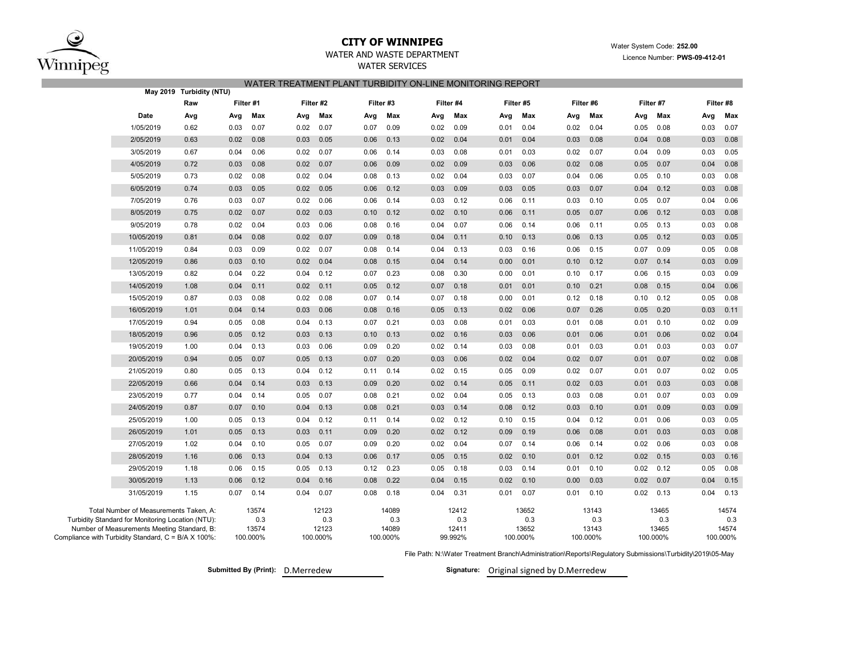

## **CITY OF WINNIPEG**WATER AND WASTE DEPARTMENT

# WATER SERVICESWATER TREATMENT PLANT TURBIDITY ON-LINE MONITORING REPORT

|                                                                                                  | May 2019 Turbidity (NTU) |           |              |          |              |           |              |         |              |      |              |          |              |          |              |      |              |  |
|--------------------------------------------------------------------------------------------------|--------------------------|-----------|--------------|----------|--------------|-----------|--------------|---------|--------------|------|--------------|----------|--------------|----------|--------------|------|--------------|--|
|                                                                                                  | Raw                      | Filter #1 |              |          | Filter #2    | Filter #3 |              |         | Filter #4    |      | Filter #5    |          | Filter #6    |          | Filter #7    |      | Filter #8    |  |
| Date                                                                                             | Avg                      | Avg       | Max          | Avg      | Max          | Avg       | Max          | Avg     | Max          | Avg  | Max          | Avg      | Max          | Avg      | Max          | Avg  | Max          |  |
| 1/05/2019                                                                                        | 0.62                     | 0.03      | 0.07         | 0.02     | 0.07         | 0.07      | 0.09         | 0.02    | 0.09         | 0.01 | 0.04         | 0.02     | 0.04         | 0.05     | 0.08         | 0.03 | 0.07         |  |
| 2/05/2019                                                                                        | 0.63                     | 0.02      | 0.08         | 0.03     | 0.05         | 0.06      | 0.13         | 0.02    | 0.04         | 0.01 | 0.04         | 0.03     | 0.08         | 0.04     | 0.08         | 0.03 | 0.08         |  |
| 3/05/2019                                                                                        | 0.67                     | 0.04      | 0.06         | 0.02     | 0.07         | 0.06      | 0.14         | 0.03    | 0.08         | 0.01 | 0.03         | 0.02     | 0.07         | 0.04     | 0.09         | 0.03 | 0.05         |  |
| 4/05/2019                                                                                        | 0.72                     | 0.03      | 0.08         | 0.02     | 0.07         | 0.06      | 0.09         | 0.02    | 0.09         | 0.03 | 0.06         | 0.02     | 0.08         | 0.05     | 0.07         | 0.04 | 0.08         |  |
| 5/05/2019                                                                                        | 0.73                     | 0.02      | 0.08         | 0.02     | 0.04         | 0.08      | 0.13         | 0.02    | 0.04         | 0.03 | 0.07         | 0.04     | 0.06         | 0.05     | 0.10         | 0.03 | 0.08         |  |
| 6/05/2019                                                                                        | 0.74                     | 0.03      | 0.05         | 0.02     | 0.05         | 0.06      | 0.12         | 0.03    | 0.09         | 0.03 | 0.05         | 0.03     | 0.07         | 0.04     | 0.12         | 0.03 | 0.08         |  |
| 7/05/2019                                                                                        | 0.76                     | 0.03      | 0.07         | 0.02     | 0.06         | 0.06      | 0.14         | 0.03    | 0.12         | 0.06 | 0.11         | 0.03     | 0.10         | 0.05     | 0.07         | 0.04 | 0.06         |  |
| 8/05/2019                                                                                        | 0.75                     | 0.02      | 0.07         | 0.02     | 0.03         | 0.10      | 0.12         | 0.02    | 0.10         | 0.06 | 0.11         | 0.05     | 0.07         | 0.06     | 0.12         | 0.03 | 0.08         |  |
| 9/05/2019                                                                                        | 0.78                     | 0.02      | 0.04         | 0.03     | 0.06         | 0.08      | 0.16         | 0.04    | 0.07         | 0.06 | 0.14         | 0.06     | 0.11         | 0.05     | 0.13         | 0.03 | 0.08         |  |
| 10/05/2019                                                                                       | 0.81                     | 0.04      | 0.08         | 0.02     | 0.07         | 0.09      | 0.18         | 0.04    | 0.11         | 0.10 | 0.13         | 0.06     | 0.13         | 0.05     | 0.12         | 0.03 | 0.05         |  |
| 11/05/2019                                                                                       | 0.84                     | 0.03      | 0.09         | 0.02     | 0.07         | 0.08      | 0.14         | 0.04    | 0.13         | 0.03 | 0.16         | 0.06     | 0.15         | 0.07     | 0.09         | 0.05 | 0.08         |  |
| 12/05/2019                                                                                       | 0.86                     | 0.03      | 0.10         | 0.02     | 0.04         | 0.08      | 0.15         | 0.04    | 0.14         | 0.00 | 0.01         | 0.10     | 0.12         | 0.07     | 0.14         | 0.03 | 0.09         |  |
| 13/05/2019                                                                                       | 0.82                     | 0.04      | 0.22         | 0.04     | 0.12         | 0.07      | 0.23         | 0.08    | 0.30         | 0.00 | 0.01         | 0.10     | 0.17         | 0.06     | 0.15         | 0.03 | 0.09         |  |
| 14/05/2019                                                                                       | 1.08                     | 0.04      | 0.11         | 0.02     | 0.11         | 0.05      | 0.12         | 0.07    | 0.18         | 0.01 | 0.01         | 0.10     | 0.21         | 0.08     | 0.15         | 0.04 | 0.06         |  |
| 15/05/2019                                                                                       | 0.87                     | 0.03      | 0.08         | 0.02     | 0.08         | 0.07      | 0.14         | 0.07    | 0.18         | 0.00 | 0.01         | 0.12     | 0.18         | 0.10     | 0.12         | 0.05 | 0.08         |  |
| 16/05/2019                                                                                       | 1.01                     | 0.04      | 0.14         | 0.03     | 0.06         | 0.08      | 0.16         | 0.05    | 0.13         | 0.02 | 0.06         | 0.07     | 0.26         | 0.05     | 0.20         | 0.03 | 0.11         |  |
| 17/05/2019                                                                                       | 0.94                     | 0.05      | 0.08         | 0.04     | 0.13         | 0.07      | 0.21         | 0.03    | 0.08         | 0.01 | 0.03         | 0.01     | 0.08         | 0.01     | 0.10         | 0.02 | 0.09         |  |
| 18/05/2019                                                                                       | 0.96                     | 0.05      | 0.12         | 0.03     | 0.13         | 0.10      | 0.13         | 0.02    | 0.16         | 0.03 | 0.06         | 0.01     | 0.06         | 0.01     | 0.06         | 0.02 | 0.04         |  |
| 19/05/2019                                                                                       | 1.00                     | 0.04      | 0.13         | 0.03     | 0.06         | 0.09      | 0.20         | 0.02    | 0.14         | 0.03 | 0.08         | 0.01     | 0.03         | 0.01     | 0.03         | 0.03 | 0.07         |  |
| 20/05/2019                                                                                       | 0.94                     | 0.05      | 0.07         | 0.05     | 0.13         | 0.07      | 0.20         | 0.03    | 0.06         | 0.02 | 0.04         | 0.02     | 0.07         | 0.01     | 0.07         | 0.02 | 0.08         |  |
| 21/05/2019                                                                                       | 0.80                     | 0.05      | 0.13         | 0.04     | 0.12         | 0.11      | 0.14         | 0.02    | 0.15         | 0.05 | 0.09         | 0.02     | 0.07         | 0.01     | 0.07         | 0.02 | 0.05         |  |
| 22/05/2019                                                                                       | 0.66                     | 0.04      | 0.14         | 0.03     | 0.13         | 0.09      | 0.20         | 0.02    | 0.14         | 0.05 | 0.11         | 0.02     | 0.03         | 0.01     | 0.03         | 0.03 | 0.08         |  |
| 23/05/2019                                                                                       | 0.77                     | 0.04      | 0.14         | 0.05     | 0.07         | 0.08      | 0.21         | 0.02    | 0.04         | 0.05 | 0.13         | 0.03     | 0.08         | 0.01     | 0.07         | 0.03 | 0.09         |  |
| 24/05/2019                                                                                       | 0.87                     | 0.07      | 0.10         | 0.04     | 0.13         | 0.08      | 0.21         | 0.03    | 0.14         | 0.08 | 0.12         | 0.03     | 0.10         | 0.01     | 0.09         | 0.03 | 0.09         |  |
| 25/05/2019                                                                                       | 1.00                     | 0.05      | 0.13         | 0.04     | 0.12         | 0.11      | 0.14         | 0.02    | 0.12         | 0.10 | 0.15         | 0.04     | 0.12         | 0.01     | 0.06         | 0.03 | 0.05         |  |
| 26/05/2019                                                                                       | 1.01                     | 0.05      | 0.13         | 0.03     | 0.11         | 0.09      | 0.20         | 0.02    | 0.12         | 0.09 | 0.19         | 0.06     | 0.08         | 0.01     | 0.03         | 0.03 | 0.08         |  |
| 27/05/2019                                                                                       | 1.02                     | 0.04      | 0.10         | 0.05     | 0.07         | 0.09      | 0.20         | 0.02    | 0.04         | 0.07 | 0.14         | 0.06     | 0.14         | 0.02     | 0.06         | 0.03 | 0.08         |  |
| 28/05/2019                                                                                       | 1.16                     | 0.06      | 0.13         | 0.04     | 0.13         | 0.06      | 0.17         | 0.05    | 0.15         | 0.02 | 0.10         | 0.01     | 0.12         | 0.02     | 0.15         | 0.03 | 0.16         |  |
| 29/05/2019                                                                                       | 1.18                     | 0.06      | 0.15         | 0.05     | 0.13         | 0.12      | 0.23         | 0.05    | 0.18         | 0.03 | 0.14         | 0.01     | 0.10         | 0.02     | 0.12         | 0.05 | 0.08         |  |
| 30/05/2019                                                                                       | 1.13                     | 0.06      | 0.12         | 0.04     | 0.16         | 0.08      | 0.22         | 0.04    | 0.15         | 0.02 | 0.10         | 0.00     | 0.03         | 0.02     | 0.07         | 0.04 | 0.15         |  |
| 31/05/2019                                                                                       | 1.15                     | 0.07      | 0.14         | 0.04     | 0.07         | 0.08      | 0.18         | 0.04    | 0.31         | 0.01 | 0.07         | 0.01     | 0.10         | 0.02     | 0.13         | 0.04 | 0.13         |  |
| Total Number of Measurements Taken, A:                                                           |                          |           | 13574        |          | 12123        |           | 14089        |         | 12412        |      | 13652        |          | 13143        |          | 13465        |      | 14574        |  |
| Turbidity Standard for Monitoring Location (NTU):<br>Number of Measurements Meeting Standard, B: |                          |           | 0.3<br>13574 |          | 0.3<br>12123 |           | 0.3<br>14089 |         | 0.3<br>12411 |      | 0.3<br>13652 |          | 0.3<br>13143 |          | 0.3<br>13465 |      | 0.3<br>14574 |  |
| Compliance with Turbidity Standard, C = B/A X 100%:                                              |                          | 100.000%  |              | 100.000% | 100.000%     |           |              | 99.992% | 100.000%     |      |              | 100.000% |              | 100.000% | 100.000%     |      |              |  |

File Path: N:\Water Treatment Branch\Administration\Reports\Regulatory Submissions\Turbidity\2019\05-May

**Submitted By (Print): D.Merredew** 

Signature: Original signed by D.Merredew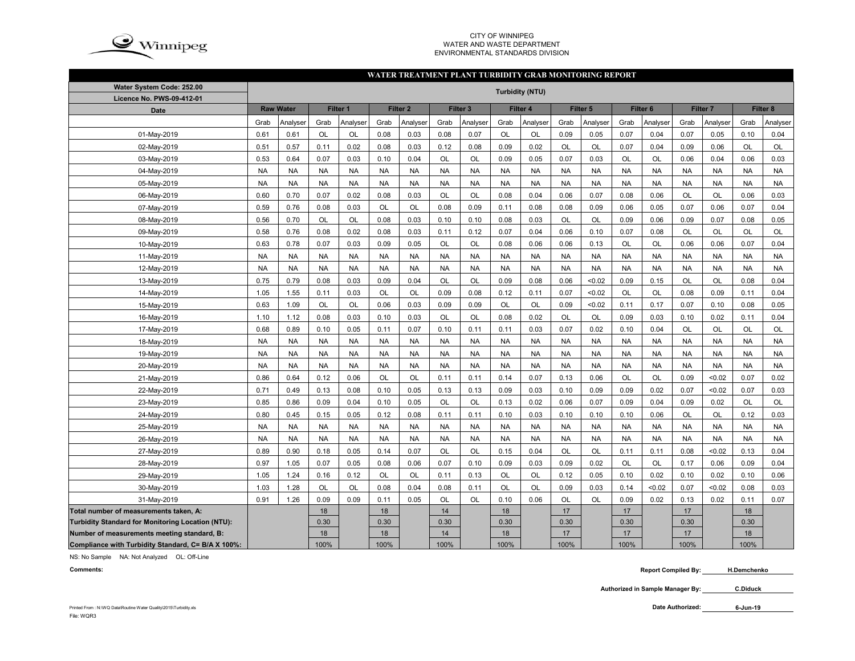

#### CITY OF WINNIPEG WATER AND WASTE DEPARTMENTENVIRONMENTAL STANDARDS DIVISION

#### **WATER TREATMENT PLANT TURBIDITY GRAB MONITORING REPORT**

| Water System Code: 252.00                          | <b>Turbidity (NTU)</b> |                  |           |           |           |                     |           |                     |           |           |           |           |           |           |           |           |           |           |
|----------------------------------------------------|------------------------|------------------|-----------|-----------|-----------|---------------------|-----------|---------------------|-----------|-----------|-----------|-----------|-----------|-----------|-----------|-----------|-----------|-----------|
| Licence No. PWS-09-412-01                          |                        |                  |           |           |           |                     |           |                     |           |           |           |           |           |           |           |           |           |           |
| <b>Date</b>                                        |                        | <b>Raw Water</b> |           | Filter 1  |           | Filter <sub>2</sub> |           | Filter <sub>3</sub> |           | Filter 4  |           | Filter 5  | Filter 6  |           |           | Filter 7  |           | Filter 8  |
|                                                    | Grab                   | Analyser         | Grab      | Analyser  | Grab      | Analyser            | Grab      | Analyser            | Grab      | Analyser  | Grab      | Analyser  | Grab      | Analyser  | Grab      | Analyser  | Grab      | Analyser  |
| 01-May-2019                                        | 0.61                   | 0.61             | <b>OL</b> | OL        | 0.08      | 0.03                | 0.08      | 0.07                | OL        | OL        | 0.09      | 0.05      | 0.07      | 0.04      | 0.07      | 0.05      | 0.10      | 0.04      |
| 02-May-2019                                        | 0.51                   | 0.57             | 0.11      | 0.02      | 0.08      | 0.03                | 0.12      | 0.08                | 0.09      | 0.02      | OL        | OL        | 0.07      | 0.04      | 0.09      | 0.06      | OL        | OL        |
| 03-May-2019                                        | 0.53                   | 0.64             | 0.07      | 0.03      | 0.10      | 0.04                | OL        | OL                  | 0.09      | 0.05      | 0.07      | 0.03      | OL        | OL        | 0.06      | 0.04      | 0.06      | 0.03      |
| 04-May-2019                                        | <b>NA</b>              | <b>NA</b>        | <b>NA</b> | <b>NA</b> | <b>NA</b> | <b>NA</b>           | <b>NA</b> | <b>NA</b>           | <b>NA</b> | <b>NA</b> | <b>NA</b> | <b>NA</b> | <b>NA</b> | <b>NA</b> | <b>NA</b> | <b>NA</b> | <b>NA</b> | <b>NA</b> |
| 05-May-2019                                        | <b>NA</b>              | <b>NA</b>        | <b>NA</b> | <b>NA</b> | <b>NA</b> | <b>NA</b>           | <b>NA</b> | <b>NA</b>           | <b>NA</b> | <b>NA</b> | <b>NA</b> | <b>NA</b> | <b>NA</b> | <b>NA</b> | <b>NA</b> | <b>NA</b> | <b>NA</b> | <b>NA</b> |
| 06-May-2019                                        | 0.60                   | 0.70             | 0.07      | 0.02      | 0.08      | 0.03                | <b>OL</b> | <b>OL</b>           | 0.08      | 0.04      | 0.06      | 0.07      | 0.08      | 0.06      | <b>OL</b> | <b>OL</b> | 0.06      | 0.03      |
| 07-May-2019                                        | 0.59                   | 0.76             | 0.08      | 0.03      | OL        | OL                  | 0.08      | 0.09                | 0.11      | 0.08      | 0.08      | 0.09      | 0.06      | 0.05      | 0.07      | 0.06      | 0.07      | 0.04      |
| 08-May-2019                                        | 0.56                   | 0.70             | OL        | OL        | 0.08      | 0.03                | 0.10      | 0.10                | 0.08      | 0.03      | OL        | OL        | 0.09      | 0.06      | 0.09      | 0.07      | 0.08      | 0.05      |
| 09-May-2019                                        | 0.58                   | 0.76             | 0.08      | 0.02      | 0.08      | 0.03                | 0.11      | 0.12                | 0.07      | 0.04      | 0.06      | 0.10      | 0.07      | 0.08      | OL        | <b>OL</b> | <b>OL</b> | OL        |
| 10-May-2019                                        | 0.63                   | 0.78             | 0.07      | 0.03      | 0.09      | 0.05                | OL        | <b>OL</b>           | 0.08      | 0.06      | 0.06      | 0.13      | OL        | <b>OL</b> | 0.06      | 0.06      | 0.07      | 0.04      |
| 11-May-2019                                        | <b>NA</b>              | <b>NA</b>        | <b>NA</b> | <b>NA</b> | <b>NA</b> | <b>NA</b>           | <b>NA</b> | <b>NA</b>           | <b>NA</b> | <b>NA</b> | <b>NA</b> | <b>NA</b> | <b>NA</b> | <b>NA</b> | <b>NA</b> | <b>NA</b> | <b>NA</b> | <b>NA</b> |
| 12-May-2019                                        | <b>NA</b>              | <b>NA</b>        | <b>NA</b> | <b>NA</b> | <b>NA</b> | <b>NA</b>           | <b>NA</b> | <b>NA</b>           | <b>NA</b> | <b>NA</b> | <b>NA</b> | <b>NA</b> | <b>NA</b> | <b>NA</b> | <b>NA</b> | <b>NA</b> | <b>NA</b> | <b>NA</b> |
| 13-May-2019                                        | 0.75                   | 0.79             | 0.08      | 0.03      | 0.09      | 0.04                | <b>OL</b> | <b>OL</b>           | 0.09      | 0.08      | 0.06      | < 0.02    | 0.09      | 0.15      | <b>OL</b> | <b>OL</b> | 0.08      | 0.04      |
| 14-May-2019                                        | 1.05                   | 1.55             | 0.11      | 0.03      | OL        | OL                  | 0.09      | 0.08                | 0.12      | 0.11      | 0.07      | < 0.02    | <b>OL</b> | OL        | 0.08      | 0.09      | 0.11      | 0.04      |
| 15-May-2019                                        | 0.63                   | 1.09             | OL        | OL        | 0.06      | 0.03                | 0.09      | 0.09                | OL        | OL        | 0.09      | < 0.02    | 0.11      | 0.17      | 0.07      | 0.10      | 0.08      | 0.05      |
| 16-May-2019                                        | 1.10                   | 1.12             | 0.08      | 0.03      | 0.10      | 0.03                | OL        | OL                  | 0.08      | 0.02      | OL        | OL        | 0.09      | 0.03      | 0.10      | 0.02      | 0.11      | 0.04      |
| 17-May-2019                                        | 0.68                   | 0.89             | 0.10      | 0.05      | 0.11      | 0.07                | 0.10      | 0.11                | 0.11      | 0.03      | 0.07      | 0.02      | 0.10      | 0.04      | <b>OL</b> | OL        | <b>OL</b> | OL        |
| 18-May-2019                                        | <b>NA</b>              | <b>NA</b>        | <b>NA</b> | <b>NA</b> | <b>NA</b> | <b>NA</b>           | <b>NA</b> | <b>NA</b>           | <b>NA</b> | <b>NA</b> | <b>NA</b> | <b>NA</b> | <b>NA</b> | <b>NA</b> | <b>NA</b> | <b>NA</b> | <b>NA</b> | <b>NA</b> |
| 19-May-2019                                        | <b>NA</b>              | <b>NA</b>        | <b>NA</b> | <b>NA</b> | <b>NA</b> | <b>NA</b>           | <b>NA</b> | <b>NA</b>           | <b>NA</b> | <b>NA</b> | <b>NA</b> | <b>NA</b> | <b>NA</b> | <b>NA</b> | <b>NA</b> | <b>NA</b> | <b>NA</b> | <b>NA</b> |
| 20-May-2019                                        | <b>NA</b>              | <b>NA</b>        | <b>NA</b> | <b>NA</b> | <b>NA</b> | <b>NA</b>           | <b>NA</b> | <b>NA</b>           | <b>NA</b> | <b>NA</b> | <b>NA</b> | <b>NA</b> | <b>NA</b> | <b>NA</b> | <b>NA</b> | <b>NA</b> | <b>NA</b> | <b>NA</b> |
| 21-May-2019                                        | 0.86                   | 0.64             | 0.12      | 0.06      | OL        | OL                  | 0.11      | 0.11                | 0.14      | 0.07      | 0.13      | 0.06      | OL        | OL        | 0.09      | < 0.02    | 0.07      | 0.02      |
| 22-May-2019                                        | 0.71                   | 0.49             | 0.13      | 0.08      | 0.10      | 0.05                | 0.13      | 0.13                | 0.09      | 0.03      | 0.10      | 0.09      | 0.09      | 0.02      | 0.07      | <0.02     | 0.07      | 0.03      |
| 23-May-2019                                        | 0.85                   | 0.86             | 0.09      | 0.04      | 0.10      | 0.05                | OL        | <b>OL</b>           | 0.13      | 0.02      | 0.06      | 0.07      | 0.09      | 0.04      | 0.09      | 0.02      | OL        | OL        |
| 24-May-2019                                        | 0.80                   | 0.45             | 0.15      | 0.05      | 0.12      | 0.08                | 0.11      | 0.11                | 0.10      | 0.03      | 0.10      | 0.10      | 0.10      | 0.06      | <b>OL</b> | <b>OL</b> | 0.12      | 0.03      |
| 25-May-2019                                        | <b>NA</b>              | <b>NA</b>        | <b>NA</b> | <b>NA</b> | <b>NA</b> | <b>NA</b>           | <b>NA</b> | <b>NA</b>           | <b>NA</b> | <b>NA</b> | <b>NA</b> | <b>NA</b> | <b>NA</b> | <b>NA</b> | <b>NA</b> | <b>NA</b> | <b>NA</b> | <b>NA</b> |
| 26-May-2019                                        | <b>NA</b>              | <b>NA</b>        | <b>NA</b> | <b>NA</b> | <b>NA</b> | <b>NA</b>           | <b>NA</b> | <b>NA</b>           | <b>NA</b> | <b>NA</b> | <b>NA</b> | <b>NA</b> | <b>NA</b> | <b>NA</b> | <b>NA</b> | <b>NA</b> | <b>NA</b> | <b>NA</b> |
| 27-May-2019                                        | 0.89                   | 0.90             | 0.18      | 0.05      | 0.14      | 0.07                | <b>OL</b> | OL                  | 0.15      | 0.04      | OL        | OL        | 0.11      | 0.11      | 0.08      | < 0.02    | 0.13      | 0.04      |
| 28-May-2019                                        | 0.97                   | 1.05             | 0.07      | 0.05      | 0.08      | 0.06                | 0.07      | 0.10                | 0.09      | 0.03      | 0.09      | 0.02      | OL        | <b>OL</b> | 0.17      | 0.06      | 0.09      | 0.04      |
| 29-May-2019                                        | 1.05                   | 1.24             | 0.16      | 0.12      | OL        | OL                  | 0.11      | 0.13                | <b>OL</b> | OL        | 0.12      | 0.05      | 0.10      | 0.02      | 0.10      | 0.02      | 0.10      | 0.06      |
| 30-May-2019                                        | 1.03                   | 1.28             | OL        | OL        | 0.08      | 0.04                | 0.08      | 0.11                | <b>OL</b> | OL        | 0.09      | 0.03      | 0.14      | <0.02     | 0.07      | <0.02     | 0.08      | 0.03      |
| 31-May-2019                                        | 0.91                   | 1.26             | 0.09      | 0.09      | 0.11      | 0.05                | OL        | OL                  | 0.10      | 0.06      | OL        | OL        | 0.09      | 0.02      | 0.13      | 0.02      | 0.11      | 0.07      |
| Total number of measurements taken, A:             |                        |                  | 18        |           | 18        |                     | 14        |                     | 18        |           | 17        |           | 17        |           | 17        |           | 18        |           |
| Turbidity Standard for Monitoring Location (NTU):  |                        |                  | 0.30      |           | 0.30      |                     | 0.30      |                     | 0.30      |           | 0.30      |           | 0.30      |           | 0.30      |           | 0.30      |           |
| Number of measurements meeting standard, B:        |                        |                  | 18        |           | 18        |                     | 14        |                     | 18        |           | 17        |           | 17        |           | 17        |           | 18        |           |
| Compliance with Turbidity Standard, C= B/A X 100%: |                        |                  | 100%      |           | 100%      |                     | 100%      |                     | 100%      |           | 100%      |           | 100%      |           | 100%      |           | 100%      |           |

NS: No Sample NA: Not Analyzed OL: Off-Line

**Comments:**

 **Report Compiled By: H.Demchenko**

**Authorized in Sample Manager By: C.Diduck**

**6-Jun-19**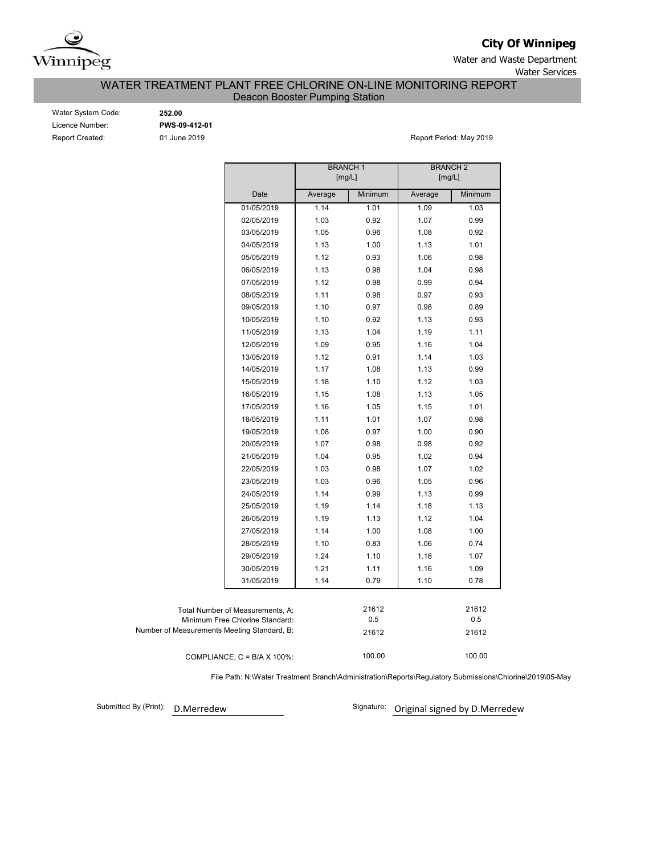

**City Of Winnipeg**

Water and Waste Department Water Services

## WATER TREATMENT PLANT FREE CHLORINE ON-LINE MONITORING REPORT Deacon Booster Pumping Station

| Water System Code: |  |
|--------------------|--|
| Licence Number:    |  |
| Report Created:    |  |

Water System Code: **252.00** Licence Number: **PWS-09-412-01**

01 June 2019 **Report Period: May 2019** 

|                                             |                                      | <b>BRANCH1</b><br>[mg/L] |         | <b>BRANCH 2</b><br>[mg/L] |         |
|---------------------------------------------|--------------------------------------|--------------------------|---------|---------------------------|---------|
|                                             | Date                                 | Average                  | Minimum | Average                   | Minimum |
|                                             | 01/05/2019                           | 1.14                     | 1.01    | 1.09                      | 1.03    |
|                                             | 02/05/2019                           | 1.03                     | 0.92    | 1.07                      | 0.99    |
|                                             | 03/05/2019                           | 1.05                     | 0.96    | 1.08                      | 0.92    |
|                                             | 04/05/2019                           | 1.13                     | 1.00    | 1.13                      | 1.01    |
|                                             | 05/05/2019                           | 1.12                     | 0.93    | 1.06                      | 0.98    |
|                                             | 06/05/2019                           | 1.13                     | 0.98    | 1.04                      | 0.98    |
|                                             | 07/05/2019                           | 1.12                     | 0.98    | 0.99                      | 0.94    |
|                                             | 08/05/2019                           | 1.11                     | 0.98    | 0.97                      | 0.93    |
|                                             | 09/05/2019                           | 1.10                     | 0.97    | 0.98                      | 0.89    |
|                                             | 10/05/2019                           | 1.10                     | 0.92    | 1.13                      | 0.93    |
|                                             | 11/05/2019                           | 1.13                     | 1.04    | 1.19                      | 1.11    |
|                                             | 12/05/2019                           | 1.09                     | 0.95    | 1.16                      | 1.04    |
|                                             | 13/05/2019                           | 1.12                     | 0.91    | 1.14                      | 1.03    |
|                                             | 14/05/2019                           | 1.17                     | 1.08    | 1.13                      | 0.99    |
|                                             | 15/05/2019                           | 1.18                     | 1.10    | 1.12                      | 1.03    |
|                                             | 16/05/2019                           | 1.15                     | 1.08    | 1.13                      | 1.05    |
|                                             | 17/05/2019                           | 1.16                     | 1.05    | 1.15                      | 1.01    |
|                                             | 18/05/2019                           | 1.11                     | 1.01    | 1.07                      | 0.98    |
|                                             | 19/05/2019                           | 1.08                     | 0.97    | 1.00                      | 0.90    |
|                                             | 20/05/2019                           | 1.07                     | 0.98    | 0.98                      | 0.92    |
|                                             | 21/05/2019                           | 1.04                     | 0.95    | 1.02                      | 0.94    |
|                                             | 22/05/2019                           | 1.03                     | 0.98    | 1.07                      | 1.02    |
|                                             | 23/05/2019                           | 1.03                     | 0.96    | 1.05                      | 0.96    |
|                                             | 24/05/2019                           | 1.14                     | 0.99    | 1.13                      | 0.99    |
|                                             | 25/05/2019                           | 1.19                     | 1.14    | 1.18                      | 1.13    |
|                                             | 26/05/2019                           | 1.19                     | 1.13    | 1.12                      | 1.04    |
|                                             | 27/05/2019                           | 1.14                     | 1.00    | 1.08                      | 1.00    |
|                                             | 28/05/2019                           | 1.10                     | 0.83    | 1.06                      | 0.74    |
|                                             | 29/05/2019                           | 1.24                     | 1.10    | 1.18                      | 1.07    |
|                                             | 30/05/2019                           | 1.21                     | 1.11    | 1.16                      | 1.09    |
|                                             | 31/05/2019                           | 1.14                     | 0.79    | 1.10                      | 0.78    |
|                                             | Total Number of Measurements, A:     |                          | 21612   |                           | 21612   |
|                                             | Minimum Free Chlorine Standard:      |                          | 0.5     |                           | 0.5     |
| Number of Measurements Meeting Standard, B: |                                      |                          | 21612   |                           | 21612   |
|                                             | COMPLIANCE, $C = B/A \times 100\%$ : |                          | 100.00  |                           | 100.00  |

File Path: N:\Water Treatment Branch\Administration\Reports\Regulatory Submissions\Chlorine\2019\05-May

Submitted By (Print): D.Merredew

Signature: Original signed by D.Merredew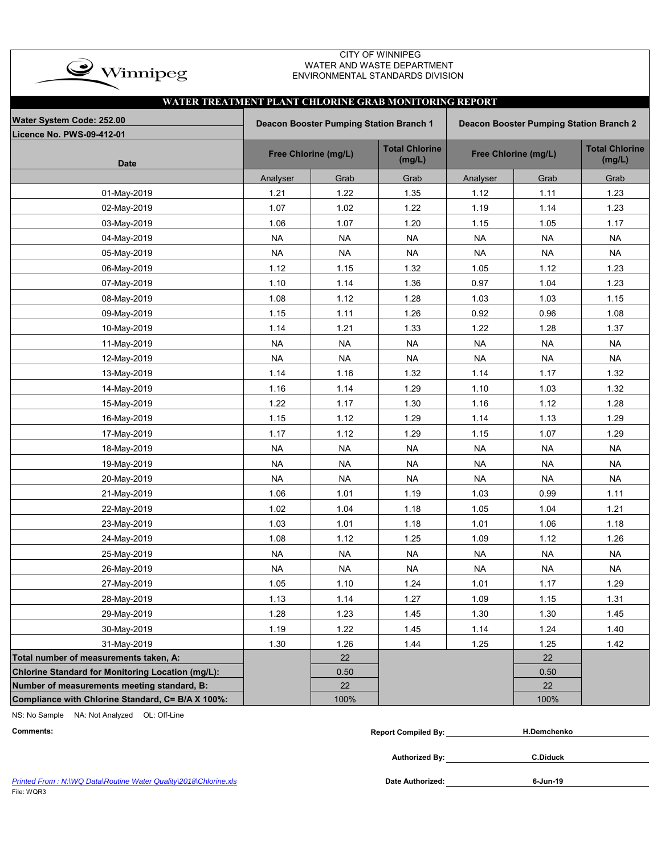

### CITY OF WINNIPEG WATER AND WASTE DEPARTMENT ENVIRONMENTAL STANDARDS DIVISION

|                                                   | WATER TREATMENT PLANT CHLORINE GRAB MONITORING REPORT                                     |                      |                                 |                      |                                 |           |  |  |  |  |  |  |  |  |
|---------------------------------------------------|-------------------------------------------------------------------------------------------|----------------------|---------------------------------|----------------------|---------------------------------|-----------|--|--|--|--|--|--|--|--|
| Water System Code: 252.00                         | <b>Deacon Booster Pumping Station Branch 1</b><br>Deacon Booster Pumping Station Branch 2 |                      |                                 |                      |                                 |           |  |  |  |  |  |  |  |  |
| Licence No. PWS-09-412-01                         |                                                                                           |                      |                                 |                      |                                 |           |  |  |  |  |  |  |  |  |
| <b>Date</b>                                       |                                                                                           | Free Chlorine (mg/L) | <b>Total Chlorine</b><br>(mg/L) | Free Chlorine (mg/L) | <b>Total Chlorine</b><br>(mg/L) |           |  |  |  |  |  |  |  |  |
|                                                   | Analyser                                                                                  | Grab                 | Grab                            | Analyser             | Grab                            | Grab      |  |  |  |  |  |  |  |  |
| 01-May-2019                                       | 1.21                                                                                      | 1.22                 | 1.35                            | 1.12                 | 1.11                            | 1.23      |  |  |  |  |  |  |  |  |
| 02-May-2019                                       | 1.07                                                                                      | 1.02                 | 1.22                            | 1.19                 | 1.14                            | 1.23      |  |  |  |  |  |  |  |  |
| 03-May-2019                                       | 1.06                                                                                      | 1.07                 | 1.20                            | 1.15                 | 1.05                            | 1.17      |  |  |  |  |  |  |  |  |
| 04-May-2019                                       | <b>NA</b>                                                                                 | <b>NA</b>            | <b>NA</b>                       | <b>NA</b>            | <b>NA</b>                       | <b>NA</b> |  |  |  |  |  |  |  |  |
| 05-May-2019                                       | <b>NA</b>                                                                                 | <b>NA</b>            | <b>NA</b>                       | <b>NA</b>            | <b>NA</b>                       | <b>NA</b> |  |  |  |  |  |  |  |  |
| 06-May-2019                                       | 1.12                                                                                      | 1.15                 | 1.32                            | 1.05                 | 1.12                            | 1.23      |  |  |  |  |  |  |  |  |
| 07-May-2019                                       | 1.10                                                                                      | 1.14                 | 1.36                            | 0.97                 | 1.04                            | 1.23      |  |  |  |  |  |  |  |  |
| 08-May-2019                                       | 1.08                                                                                      | 1.12                 | 1.28                            | 1.03                 | 1.03                            | 1.15      |  |  |  |  |  |  |  |  |
| 09-May-2019                                       | 1.15                                                                                      | 1.11                 | 1.26                            | 0.92                 | 0.96                            | 1.08      |  |  |  |  |  |  |  |  |
| 10-May-2019                                       | 1.14                                                                                      | 1.21                 | 1.33                            | 1.22                 | 1.28                            | 1.37      |  |  |  |  |  |  |  |  |
| 11-May-2019                                       | <b>NA</b>                                                                                 | <b>NA</b>            | <b>NA</b>                       | <b>NA</b>            | <b>NA</b>                       | <b>NA</b> |  |  |  |  |  |  |  |  |
| 12-May-2019                                       | <b>NA</b>                                                                                 | <b>NA</b>            | <b>NA</b>                       | <b>NA</b>            | <b>NA</b>                       | <b>NA</b> |  |  |  |  |  |  |  |  |
| 13-May-2019                                       | 1.14                                                                                      | 1.16                 | 1.32                            | 1.14                 | 1.17                            | 1.32      |  |  |  |  |  |  |  |  |
| 14-May-2019                                       | 1.16                                                                                      | 1.14                 | 1.29                            | 1.10                 | 1.03                            | 1.32      |  |  |  |  |  |  |  |  |
| 15-May-2019                                       | 1.22                                                                                      | 1.17                 | 1.30                            | 1.16                 | 1.12                            | 1.28      |  |  |  |  |  |  |  |  |
| 16-May-2019                                       | 1.15                                                                                      | 1.12                 | 1.29                            | 1.14                 | 1.13                            | 1.29      |  |  |  |  |  |  |  |  |
| 17-May-2019                                       | 1.17                                                                                      | 1.12                 | 1.29                            | 1.15                 | 1.07                            | 1.29      |  |  |  |  |  |  |  |  |
| 18-May-2019                                       | <b>NA</b>                                                                                 | <b>NA</b>            | <b>NA</b>                       | <b>NA</b>            | <b>NA</b>                       | <b>NA</b> |  |  |  |  |  |  |  |  |
| 19-May-2019                                       | <b>NA</b>                                                                                 | <b>NA</b>            | <b>NA</b>                       | <b>NA</b>            | <b>NA</b>                       | <b>NA</b> |  |  |  |  |  |  |  |  |
| 20-May-2019                                       | <b>NA</b>                                                                                 | <b>NA</b>            | <b>NA</b>                       | <b>NA</b>            | <b>NA</b>                       | <b>NA</b> |  |  |  |  |  |  |  |  |
| 21-May-2019                                       | 1.06                                                                                      | 1.01                 | 1.19                            | 1.03                 | 0.99                            | 1.11      |  |  |  |  |  |  |  |  |
| 22-May-2019                                       | 1.02                                                                                      | 1.04                 | 1.18                            | 1.05                 | 1.04                            | 1.21      |  |  |  |  |  |  |  |  |
| 23-May-2019                                       | 1.03                                                                                      | 1.01                 | 1.18                            | 1.01                 | 1.06                            | 1.18      |  |  |  |  |  |  |  |  |
| 24-May-2019                                       | 1.08                                                                                      | 1.12                 | 1.25                            | 1.09                 | 1.12                            | 1.26      |  |  |  |  |  |  |  |  |
| 25-May-2019                                       | <b>NA</b>                                                                                 | <b>NA</b>            | <b>NA</b>                       | <b>NA</b>            | <b>NA</b>                       | <b>NA</b> |  |  |  |  |  |  |  |  |
| 26-May-2019                                       | <b>NA</b>                                                                                 | <b>NA</b>            | <b>NA</b>                       | <b>NA</b>            | <b>NA</b>                       | <b>NA</b> |  |  |  |  |  |  |  |  |
| 27-May-2019                                       | 1.05                                                                                      | 1.10                 | 1.24                            | 1.01                 | 1.17                            | 1.29      |  |  |  |  |  |  |  |  |
| 28-May-2019                                       | 1.13                                                                                      | 1.14                 | 1.27                            | 1.09                 | 1.15                            | 1.31      |  |  |  |  |  |  |  |  |
| 29-May-2019                                       | 1.28                                                                                      | 1.23                 | 1.45                            | 1.30                 | 1.30                            | 1.45      |  |  |  |  |  |  |  |  |
| 30-May-2019                                       | 1.19                                                                                      | 1.22                 | 1.45                            | 1.14                 | 1.24                            | 1.40      |  |  |  |  |  |  |  |  |
| 31-May-2019                                       | 1.30                                                                                      | 1.26                 | 1.44                            | 1.25                 | 1.25                            | 1.42      |  |  |  |  |  |  |  |  |
| Total number of measurements taken, A:            |                                                                                           | 22                   |                                 |                      | 22                              |           |  |  |  |  |  |  |  |  |
| Chlorine Standard for Monitoring Location (mg/L): |                                                                                           | 0.50                 |                                 |                      | 0.50                            |           |  |  |  |  |  |  |  |  |
| Number of measurements meeting standard, B:       |                                                                                           | 22                   |                                 |                      | 22                              |           |  |  |  |  |  |  |  |  |
| Compliance with Chlorine Standard, C= B/A X 100%: |                                                                                           | 100%                 |                                 |                      | 100%                            |           |  |  |  |  |  |  |  |  |

NS: No Sample NA: Not Analyzed OL: Off-Line

| Comments: | Compiled Bv:<br>Renorl | H.Demchenko |
|-----------|------------------------|-------------|
|           |                        |             |

**Authorized By:**

**C.Diduck**

Printed From : N:\WQ Data\Routine Water Quality\2018\Chlorine.xls **Date Authorized: Date Authorized:** File: WQR3

**6-Jun-19**